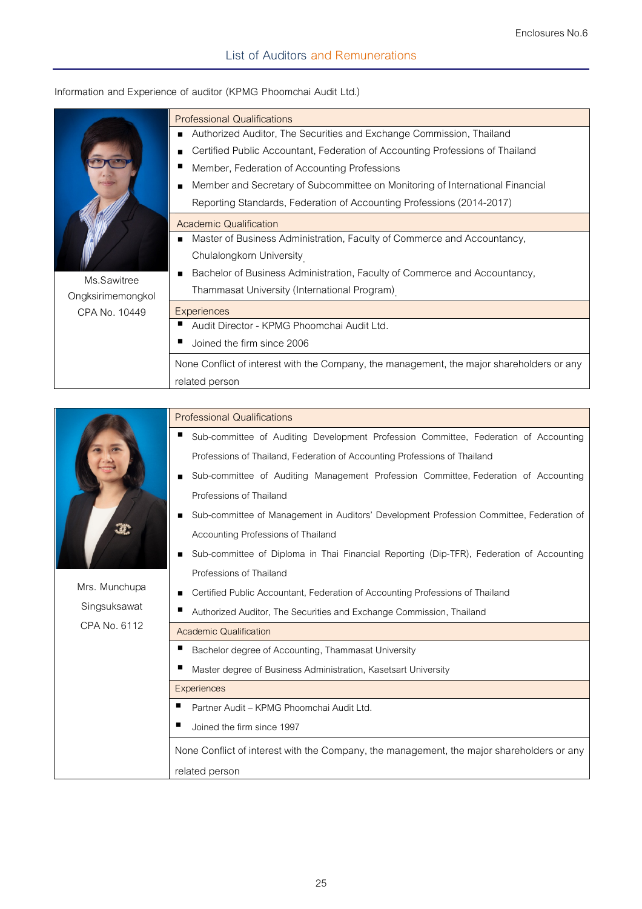|                   | <b>Professional Qualifications</b>                                                        |  |  |  |
|-------------------|-------------------------------------------------------------------------------------------|--|--|--|
|                   | Authorized Auditor, The Securities and Exchange Commission, Thailand<br>$\blacksquare$    |  |  |  |
|                   | Certified Public Accountant, Federation of Accounting Professions of Thailand<br>п        |  |  |  |
|                   | Member, Federation of Accounting Professions                                              |  |  |  |
|                   | Member and Secretary of Subcommittee on Monitoring of International Financial<br>п        |  |  |  |
|                   | Reporting Standards, Federation of Accounting Professions (2014-2017)                     |  |  |  |
|                   | <b>Academic Qualification</b>                                                             |  |  |  |
|                   | Master of Business Administration, Faculty of Commerce and Accountancy,<br>п              |  |  |  |
|                   | Chulalongkorn University                                                                  |  |  |  |
| Ms.Sawitree       | Bachelor of Business Administration, Faculty of Commerce and Accountancy,                 |  |  |  |
| Ongksirimemongkol | Thammasat University (International Program)                                              |  |  |  |
| CPA No. 10449     | Experiences                                                                               |  |  |  |
|                   | Audit Director - KPMG Phoomchai Audit Ltd.                                                |  |  |  |
|                   | Joined the firm since 2006                                                                |  |  |  |
|                   | None Conflict of interest with the Company, the management, the major shareholders or any |  |  |  |
|                   | related person                                                                            |  |  |  |

## **Information and Experience of auditor (KPMG Phoomchai Audit Ltd.)**

| Mrs. Munchupa | <b>Professional Qualifications</b>                                                        |  |  |  |  |
|---------------|-------------------------------------------------------------------------------------------|--|--|--|--|
|               | п<br>Sub-committee of Auditing Development Profession Committee, Federation of Accounting |  |  |  |  |
|               | Professions of Thailand, Federation of Accounting Professions of Thailand                 |  |  |  |  |
|               | Sub-committee of Auditing Management Profession Committee, Federation of Accounting       |  |  |  |  |
|               | Professions of Thailand                                                                   |  |  |  |  |
|               | Sub-committee of Management in Auditors' Development Profession Committee, Federation of  |  |  |  |  |
|               | Accounting Professions of Thailand                                                        |  |  |  |  |
|               | Sub-committee of Diploma in Thai Financial Reporting (Dip-TFR), Federation of Accounting  |  |  |  |  |
|               | Professions of Thailand                                                                   |  |  |  |  |
|               | Certified Public Accountant, Federation of Accounting Professions of Thailand             |  |  |  |  |
| Singsuksawat  | Authorized Auditor, The Securities and Exchange Commission, Thailand                      |  |  |  |  |
| CPA No. 6112  | <b>Academic Qualification</b>                                                             |  |  |  |  |
|               | Bachelor degree of Accounting, Thammasat University                                       |  |  |  |  |
|               | Master degree of Business Administration, Kasetsart University                            |  |  |  |  |
|               | Experiences                                                                               |  |  |  |  |
|               | Partner Audit - KPMG Phoomchai Audit Ltd.                                                 |  |  |  |  |
|               | Joined the firm since 1997                                                                |  |  |  |  |
|               | None Conflict of interest with the Company, the management, the major shareholders or any |  |  |  |  |
|               | related person                                                                            |  |  |  |  |